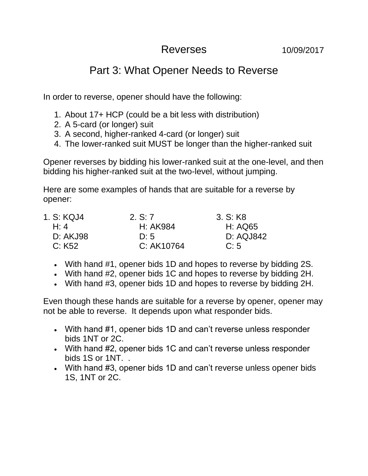## Reverses 10/09/2017

## Part 3: What Opener Needs to Reverse

In order to reverse, opener should have the following:

- 1. About 17+ HCP (could be a bit less with distribution)
- 2. A 5-card (or longer) suit
- 3. A second, higher-ranked 4-card (or longer) suit
- 4. The lower-ranked suit MUST be longer than the higher-ranked suit

Opener reverses by bidding his lower-ranked suit at the one-level, and then bidding his higher-ranked suit at the two-level, without jumping.

Here are some examples of hands that are suitable for a reverse by opener:

| 1. S: KQJ4 | 2. S: 7    | 3. S: K8  |
|------------|------------|-----------|
| H: 4       | H: AK984   | H: AQ65   |
| D: AKJ98   | D:5        | D: AQJ842 |
| C: K52     | C: AK10764 | C:5       |

- With hand #1, opener bids 1D and hopes to reverse by bidding 2S.
- With hand #2, opener bids 1C and hopes to reverse by bidding 2H.
- With hand #3, opener bids 1D and hopes to reverse by bidding 2H.

Even though these hands are suitable for a reverse by opener, opener may not be able to reverse. It depends upon what responder bids.

- With hand #1, opener bids 1D and can't reverse unless responder bids 1NT or 2C.
- With hand #2, opener bids 1C and can't reverse unless responder bids 1S or 1NT. .
- With hand #3, opener bids 1D and can't reverse unless opener bids 1S, 1NT or 2C.